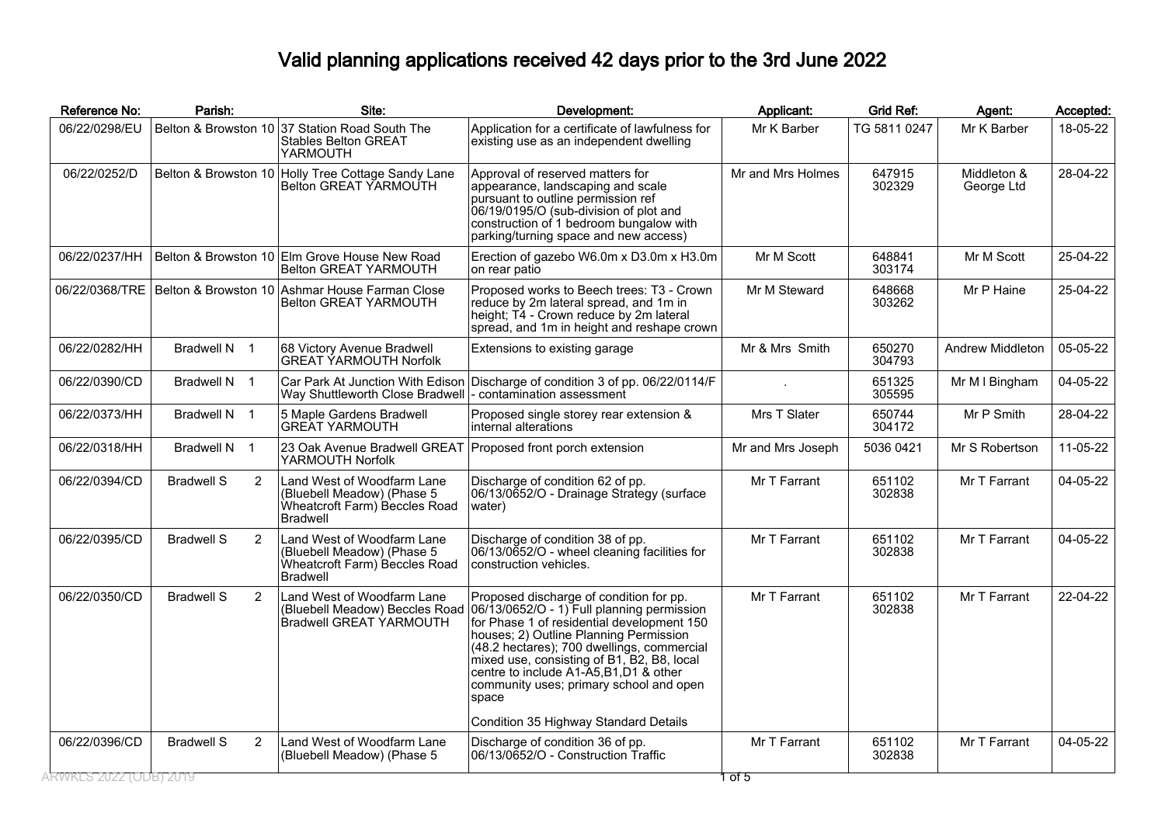## Valid planning applications received 42 days prior to the 3rd June 2022

| Belton & Browston 10 37 Station Road South The<br>06/22/0298/EU<br>Application for a certificate of lawfulness for<br>TG 5811 0247<br>Mr K Barber<br>18-05-22<br>Mr K Barber<br>existing use as an independent dwelling<br><b>Stables Belton GREAT</b><br>YARMOUTH<br>06/22/0252/D<br>Belton & Browston 10 Holly Tree Cottage Sandy Lane<br>Approval of reserved matters for<br>Mr and Mrs Holmes<br>647915<br>Middleton &<br>28-04-22<br>Belton GREAT YARMOUTH<br>appearance, landscaping and scale<br>302329<br>George Ltd<br>pursuant to outline permission ref<br>06/19/0195/O (sub-division of plot and<br>construction of 1 bedroom bungalow with<br>parking/turning space and new access)<br>06/22/0237/HH<br>Belton & Browston 10 Elm Grove House New Road<br>Mr M Scott<br>648841<br>25-04-22<br>Erection of gazebo W6.0m x D3.0m x H3.0m<br>Mr M Scott<br>Belton GREAT YARMOUTH<br>303174<br>on rear patio<br>06/22/0368/TRE   Belton & Browston 10   Ashmar House Farman Close<br>Proposed works to Beech trees: T3 - Crown<br>Mr P Haine<br>25-04-22<br>Mr M Steward<br>648668<br>303262<br>Belton GREAT YARMOUTH<br>reduce by 2m lateral spread, and 1m in<br>height; T4 - Crown reduce by 2m lateral<br>spread, and 1m in height and reshape crown<br>05-05-22<br>06/22/0282/HH<br>Bradwell N 1<br>68 Victory Avenue Bradwell<br>Mr & Mrs Smith<br>650270<br>Andrew Middleton<br>Extensions to existing garage<br><b>GREAT YARMOUTH Norfolk</b><br>304793<br>06/22/0390/CD<br>Bradwell N 1<br>Car Park At Junction With Edison<br>Discharge of condition 3 of pp. 06/22/0114/F<br>Mr M I Bingham<br>04-05-22<br>651325<br>305595<br>Way Shuttleworth Close Bradwell<br>- contamination assessment<br>Bradwell N 1<br>Mrs T Slater<br>Mr P Smith<br>28-04-22<br>06/22/0373/HH<br>5 Maple Gardens Bradwell<br>650744<br>Proposed single storey rear extension &<br>304172<br><b>GREAT YARMOUTH</b><br>internal alterations<br>11-05-22<br>06/22/0318/HH<br>Bradwell N 1<br>23 Oak Avenue Bradwell GREAT Proposed front porch extension<br>5036 0421<br>Mr S Robertson<br>Mr and Mrs Joseph<br>YARMOUTH Norfolk<br>$\overline{2}$<br>Mr T Farrant<br>Mr T Farrant<br>04-05-22<br>06/22/0394/CD<br><b>Bradwell S</b><br>Land West of Woodfarm Lane<br>Discharge of condition 62 of pp.<br>651102<br>(Bluebell Meadow) (Phase 5<br>06/13/0652/O - Drainage Strategy (surface<br>302838<br>Wheatcroft Farm) Beccles Road<br>water)<br><b>Bradwell</b><br>04-05-22<br>06/22/0395/CD<br><b>Bradwell S</b><br>2<br>Land West of Woodfarm Lane<br>Discharge of condition 38 of pp.<br>Mr T Farrant<br>651102<br>Mr T Farrant<br>06/13/0652/O - wheel cleaning facilities for<br>302838<br>(Bluebell Meadow) (Phase 5<br>Wheatcroft Farm) Beccles Road<br>construction vehicles.<br>Bradwell<br>06/22/0350/CD<br><b>Bradwell S</b><br>Land West of Woodfarm Lane<br>Mr T Farrant<br>651102<br>Mr T Farrant<br>22-04-22<br>$\overline{2}$<br>Proposed discharge of condition for pp.<br>06/13/0652/O - 1) Full planning permission<br>302838<br>(Bluebell Meadow) Beccles Road<br>Bradwell GREAT YARMOUTH<br>for Phase 1 of residential development 150<br>houses; 2) Outline Planning Permission<br>(48.2 hectares); 700 dwellings, commercial<br>mixed use, consisting of B1, B2, B8, local<br>centre to include A1-A5, B1, D1 & other<br>community uses; primary school and open<br>space<br>Condition 35 Highway Standard Details<br>04-05-22<br>06/22/0396/CD<br><b>Bradwell S</b><br>$\overline{2}$<br>Land West of Woodfarm Lane<br>Mr T Farrant<br>651102<br>Mr T Farrant<br>Discharge of condition 36 of pp.<br>06/13/0652/O - Construction Traffic<br>(Bluebell Meadow) (Phase 5<br>302838<br>RWKES 2022 (ODB) 2019 | Reference No: | Parish: | Site: | Development: | Applicant: | Grid Ref: | Agent: | Accepted: |
|---------------------------------------------------------------------------------------------------------------------------------------------------------------------------------------------------------------------------------------------------------------------------------------------------------------------------------------------------------------------------------------------------------------------------------------------------------------------------------------------------------------------------------------------------------------------------------------------------------------------------------------------------------------------------------------------------------------------------------------------------------------------------------------------------------------------------------------------------------------------------------------------------------------------------------------------------------------------------------------------------------------------------------------------------------------------------------------------------------------------------------------------------------------------------------------------------------------------------------------------------------------------------------------------------------------------------------------------------------------------------------------------------------------------------------------------------------------------------------------------------------------------------------------------------------------------------------------------------------------------------------------------------------------------------------------------------------------------------------------------------------------------------------------------------------------------------------------------------------------------------------------------------------------------------------------------------------------------------------------------------------------------------------------------------------------------------------------------------------------------------------------------------------------------------------------------------------------------------------------------------------------------------------------------------------------------------------------------------------------------------------------------------------------------------------------------------------------------------------------------------------------------------------------------------------------------------------------------------------------------------------------------------------------------------------------------------------------------------------------------------------------------------------------------------------------------------------------------------------------------------------------------------------------------------------------------------------------------------------------------------------------------------------------------------------------------------------------------------------------------------------------------------------------------------------------------------------------------------------------------------------------------------------------------------------------------------------------------------------------------------------------------------------------------------------------------------------------------------------------------------------------------------------------------------------------------------------------------------------------------------------------------------------------------------------------------------------------------------------|---------------|---------|-------|--------------|------------|-----------|--------|-----------|
|                                                                                                                                                                                                                                                                                                                                                                                                                                                                                                                                                                                                                                                                                                                                                                                                                                                                                                                                                                                                                                                                                                                                                                                                                                                                                                                                                                                                                                                                                                                                                                                                                                                                                                                                                                                                                                                                                                                                                                                                                                                                                                                                                                                                                                                                                                                                                                                                                                                                                                                                                                                                                                                                                                                                                                                                                                                                                                                                                                                                                                                                                                                                                                                                                                                                                                                                                                                                                                                                                                                                                                                                                                                                                                                                 |               |         |       |              |            |           |        |           |
|                                                                                                                                                                                                                                                                                                                                                                                                                                                                                                                                                                                                                                                                                                                                                                                                                                                                                                                                                                                                                                                                                                                                                                                                                                                                                                                                                                                                                                                                                                                                                                                                                                                                                                                                                                                                                                                                                                                                                                                                                                                                                                                                                                                                                                                                                                                                                                                                                                                                                                                                                                                                                                                                                                                                                                                                                                                                                                                                                                                                                                                                                                                                                                                                                                                                                                                                                                                                                                                                                                                                                                                                                                                                                                                                 |               |         |       |              |            |           |        |           |
|                                                                                                                                                                                                                                                                                                                                                                                                                                                                                                                                                                                                                                                                                                                                                                                                                                                                                                                                                                                                                                                                                                                                                                                                                                                                                                                                                                                                                                                                                                                                                                                                                                                                                                                                                                                                                                                                                                                                                                                                                                                                                                                                                                                                                                                                                                                                                                                                                                                                                                                                                                                                                                                                                                                                                                                                                                                                                                                                                                                                                                                                                                                                                                                                                                                                                                                                                                                                                                                                                                                                                                                                                                                                                                                                 |               |         |       |              |            |           |        |           |
|                                                                                                                                                                                                                                                                                                                                                                                                                                                                                                                                                                                                                                                                                                                                                                                                                                                                                                                                                                                                                                                                                                                                                                                                                                                                                                                                                                                                                                                                                                                                                                                                                                                                                                                                                                                                                                                                                                                                                                                                                                                                                                                                                                                                                                                                                                                                                                                                                                                                                                                                                                                                                                                                                                                                                                                                                                                                                                                                                                                                                                                                                                                                                                                                                                                                                                                                                                                                                                                                                                                                                                                                                                                                                                                                 |               |         |       |              |            |           |        |           |
|                                                                                                                                                                                                                                                                                                                                                                                                                                                                                                                                                                                                                                                                                                                                                                                                                                                                                                                                                                                                                                                                                                                                                                                                                                                                                                                                                                                                                                                                                                                                                                                                                                                                                                                                                                                                                                                                                                                                                                                                                                                                                                                                                                                                                                                                                                                                                                                                                                                                                                                                                                                                                                                                                                                                                                                                                                                                                                                                                                                                                                                                                                                                                                                                                                                                                                                                                                                                                                                                                                                                                                                                                                                                                                                                 |               |         |       |              |            |           |        |           |
|                                                                                                                                                                                                                                                                                                                                                                                                                                                                                                                                                                                                                                                                                                                                                                                                                                                                                                                                                                                                                                                                                                                                                                                                                                                                                                                                                                                                                                                                                                                                                                                                                                                                                                                                                                                                                                                                                                                                                                                                                                                                                                                                                                                                                                                                                                                                                                                                                                                                                                                                                                                                                                                                                                                                                                                                                                                                                                                                                                                                                                                                                                                                                                                                                                                                                                                                                                                                                                                                                                                                                                                                                                                                                                                                 |               |         |       |              |            |           |        |           |
|                                                                                                                                                                                                                                                                                                                                                                                                                                                                                                                                                                                                                                                                                                                                                                                                                                                                                                                                                                                                                                                                                                                                                                                                                                                                                                                                                                                                                                                                                                                                                                                                                                                                                                                                                                                                                                                                                                                                                                                                                                                                                                                                                                                                                                                                                                                                                                                                                                                                                                                                                                                                                                                                                                                                                                                                                                                                                                                                                                                                                                                                                                                                                                                                                                                                                                                                                                                                                                                                                                                                                                                                                                                                                                                                 |               |         |       |              |            |           |        |           |
|                                                                                                                                                                                                                                                                                                                                                                                                                                                                                                                                                                                                                                                                                                                                                                                                                                                                                                                                                                                                                                                                                                                                                                                                                                                                                                                                                                                                                                                                                                                                                                                                                                                                                                                                                                                                                                                                                                                                                                                                                                                                                                                                                                                                                                                                                                                                                                                                                                                                                                                                                                                                                                                                                                                                                                                                                                                                                                                                                                                                                                                                                                                                                                                                                                                                                                                                                                                                                                                                                                                                                                                                                                                                                                                                 |               |         |       |              |            |           |        |           |
|                                                                                                                                                                                                                                                                                                                                                                                                                                                                                                                                                                                                                                                                                                                                                                                                                                                                                                                                                                                                                                                                                                                                                                                                                                                                                                                                                                                                                                                                                                                                                                                                                                                                                                                                                                                                                                                                                                                                                                                                                                                                                                                                                                                                                                                                                                                                                                                                                                                                                                                                                                                                                                                                                                                                                                                                                                                                                                                                                                                                                                                                                                                                                                                                                                                                                                                                                                                                                                                                                                                                                                                                                                                                                                                                 |               |         |       |              |            |           |        |           |
|                                                                                                                                                                                                                                                                                                                                                                                                                                                                                                                                                                                                                                                                                                                                                                                                                                                                                                                                                                                                                                                                                                                                                                                                                                                                                                                                                                                                                                                                                                                                                                                                                                                                                                                                                                                                                                                                                                                                                                                                                                                                                                                                                                                                                                                                                                                                                                                                                                                                                                                                                                                                                                                                                                                                                                                                                                                                                                                                                                                                                                                                                                                                                                                                                                                                                                                                                                                                                                                                                                                                                                                                                                                                                                                                 |               |         |       |              |            |           |        |           |
|                                                                                                                                                                                                                                                                                                                                                                                                                                                                                                                                                                                                                                                                                                                                                                                                                                                                                                                                                                                                                                                                                                                                                                                                                                                                                                                                                                                                                                                                                                                                                                                                                                                                                                                                                                                                                                                                                                                                                                                                                                                                                                                                                                                                                                                                                                                                                                                                                                                                                                                                                                                                                                                                                                                                                                                                                                                                                                                                                                                                                                                                                                                                                                                                                                                                                                                                                                                                                                                                                                                                                                                                                                                                                                                                 |               |         |       |              |            |           |        |           |
|                                                                                                                                                                                                                                                                                                                                                                                                                                                                                                                                                                                                                                                                                                                                                                                                                                                                                                                                                                                                                                                                                                                                                                                                                                                                                                                                                                                                                                                                                                                                                                                                                                                                                                                                                                                                                                                                                                                                                                                                                                                                                                                                                                                                                                                                                                                                                                                                                                                                                                                                                                                                                                                                                                                                                                                                                                                                                                                                                                                                                                                                                                                                                                                                                                                                                                                                                                                                                                                                                                                                                                                                                                                                                                                                 |               |         |       |              | 1 of 5     |           |        |           |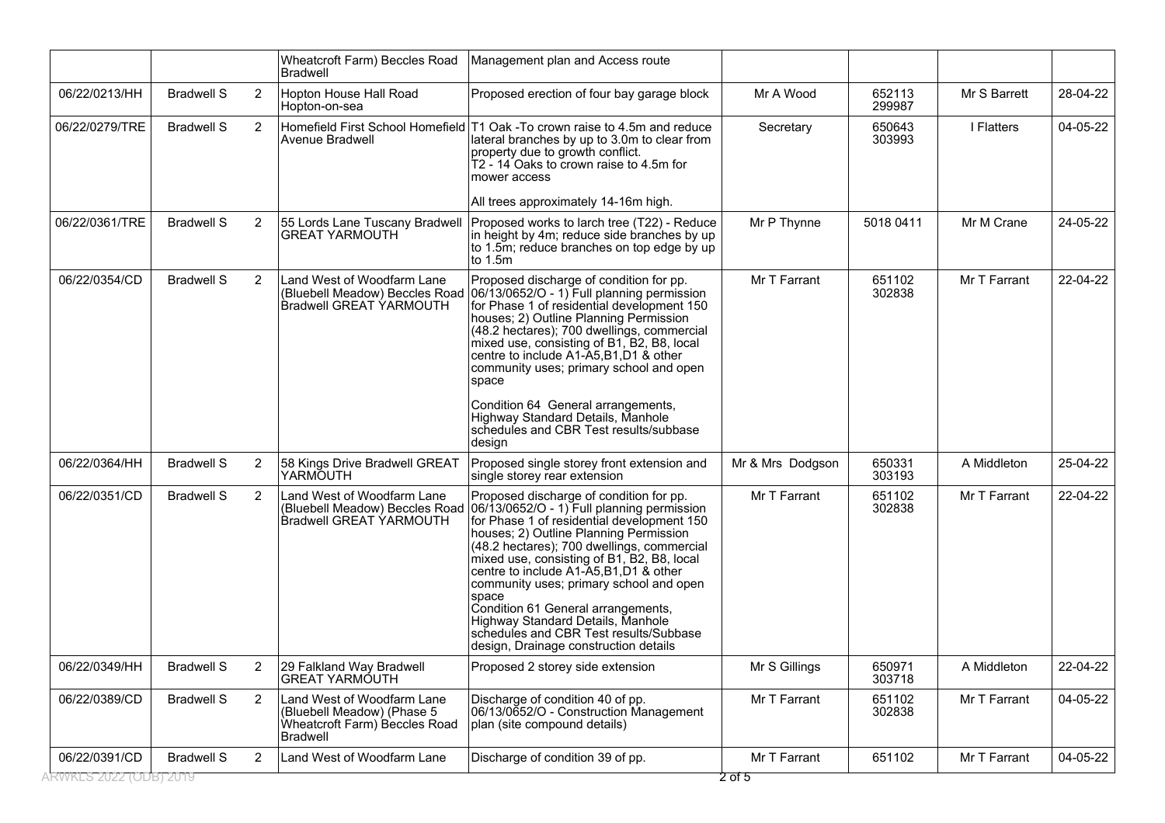|                        |                   |                | Wheatcroft Farm) Beccles Road<br>Bradwell                                                                    | Management plan and Access route                                                                                                                                                                                                                                                                                                                                                                                                                                                                                                       |                  |                  |              |          |
|------------------------|-------------------|----------------|--------------------------------------------------------------------------------------------------------------|----------------------------------------------------------------------------------------------------------------------------------------------------------------------------------------------------------------------------------------------------------------------------------------------------------------------------------------------------------------------------------------------------------------------------------------------------------------------------------------------------------------------------------------|------------------|------------------|--------------|----------|
| 06/22/0213/HH          | <b>Bradwell S</b> | $\overline{2}$ | Hopton House Hall Road<br>Hopton-on-sea                                                                      | Proposed erection of four bay garage block                                                                                                                                                                                                                                                                                                                                                                                                                                                                                             | Mr A Wood        | 652113<br>299987 | Mr S Barrett | 28-04-22 |
| 06/22/0279/TRE         | <b>Bradwell S</b> | $\overline{2}$ | Avenue Bradwell                                                                                              | Homefield First School Homefield T1 Oak -To crown raise to 4.5m and reduce<br>lateral branches by up to 3.0m to clear from<br>property due to growth conflict.<br>T2 - 14 Oaks to crown raise to 4.5m for<br>mower access                                                                                                                                                                                                                                                                                                              | Secretary        | 650643<br>303993 | I Flatters   | 04-05-22 |
|                        |                   |                |                                                                                                              | All trees approximately 14-16m high.                                                                                                                                                                                                                                                                                                                                                                                                                                                                                                   |                  |                  |              |          |
| 06/22/0361/TRE         | <b>Bradwell S</b> | 2              | 55 Lords Lane Tuscany Bradwell<br><b>GREAT YARMOUTH</b>                                                      | Proposed works to larch tree (T22) - Reduce<br>in height by 4m; reduce side branches by up<br>to 1.5m; reduce branches on top edge by up<br>to $1.5m$                                                                                                                                                                                                                                                                                                                                                                                  | Mr P Thynne      | 5018 0411        | Mr M Crane   | 24-05-22 |
| 06/22/0354/CD          | <b>Bradwell S</b> | 2              | Land West of Woodfarm Lane<br>(Bluebell Meadow) Beccles Road<br><b>Bradwell GREAT YARMOUTH</b>               | Proposed discharge of condition for pp.<br>06/13/0652/O - 1) Full planning permission<br>for Phase 1 of residential development 150<br>houses; 2) Outline Planning Permission<br>(48.2 hectares); 700 dwellings, commercial<br>mixed use, consisting of B1, B2, B8, local<br>centre to include A1-A5, B1, D1 & other<br>community uses; primary school and open<br>space                                                                                                                                                               | Mr T Farrant     | 651102<br>302838 | Mr T Farrant | 22-04-22 |
|                        |                   |                |                                                                                                              | Condition 64 General arrangements,<br>Highway Standard Details, Manhole<br>schedules and CBR Test results/subbase<br>design                                                                                                                                                                                                                                                                                                                                                                                                            |                  |                  |              |          |
| 06/22/0364/HH          | <b>Bradwell S</b> | 2              | 58 Kings Drive Bradwell GREAT<br>YARMOUTH                                                                    | Proposed single storey front extension and<br>single storey rear extension                                                                                                                                                                                                                                                                                                                                                                                                                                                             | Mr & Mrs Dodgson | 650331<br>303193 | A Middleton  | 25-04-22 |
| 06/22/0351/CD          | <b>Bradwell S</b> | 2              | Land West of Woodfarm Lane<br>(Bluebell Meadow) Beccles Road<br><b>Bradwell GREAT YARMOUTH</b>               | Proposed discharge of condition for pp.<br>06/13/0652/O - 1) Full planning permission<br>for Phase 1 of residential development 150<br>houses; 2) Outline Planning Permission<br>(48.2 hectares); 700 dwellings, commercial<br>mixed use, consisting of B1, B2, B8, local<br>centre to include A1-A5, B1, D1 & other<br>community uses; primary school and open<br>space<br>Condition 61 General arrangements,<br>Highway Standard Details, Manhole<br>schedules and CBR Test results/Subbase<br>design, Drainage construction details | Mr T Farrant     | 651102<br>302838 | Mr T Farrant | 22-04-22 |
| 06/22/0349/HH          | <b>Bradwell S</b> | 2              | 29 Falkland Way Bradwell<br><b>GREAT YARMÓUTH</b>                                                            | Proposed 2 storey side extension                                                                                                                                                                                                                                                                                                                                                                                                                                                                                                       | Mr S Gillings    | 650971<br>303718 | A Middleton  | 22-04-22 |
| 06/22/0389/CD          | <b>Bradwell S</b> | 2              | Land West of Woodfarm Lane<br>(Bluebell Meadow) (Phase 5<br>Wheatcroft Farm) Beccles Road<br><b>Bradwell</b> | Discharge of condition 40 of pp.<br>06/13/0652/O - Construction Management<br>plan (site compound details)                                                                                                                                                                                                                                                                                                                                                                                                                             | Mr T Farrant     | 651102<br>302838 | Mr T Farrant | 04-05-22 |
| 06/22/0391/CD          | <b>Bradwell S</b> | 2              | Land West of Woodfarm Lane                                                                                   | Discharge of condition 39 of pp.                                                                                                                                                                                                                                                                                                                                                                                                                                                                                                       | Mr T Farrant     | 651102           | Mr T Farrant | 04-05-22 |
| RWKES 2022 (ODB) 2019. |                   |                |                                                                                                              |                                                                                                                                                                                                                                                                                                                                                                                                                                                                                                                                        | 2 of 5           |                  |              |          |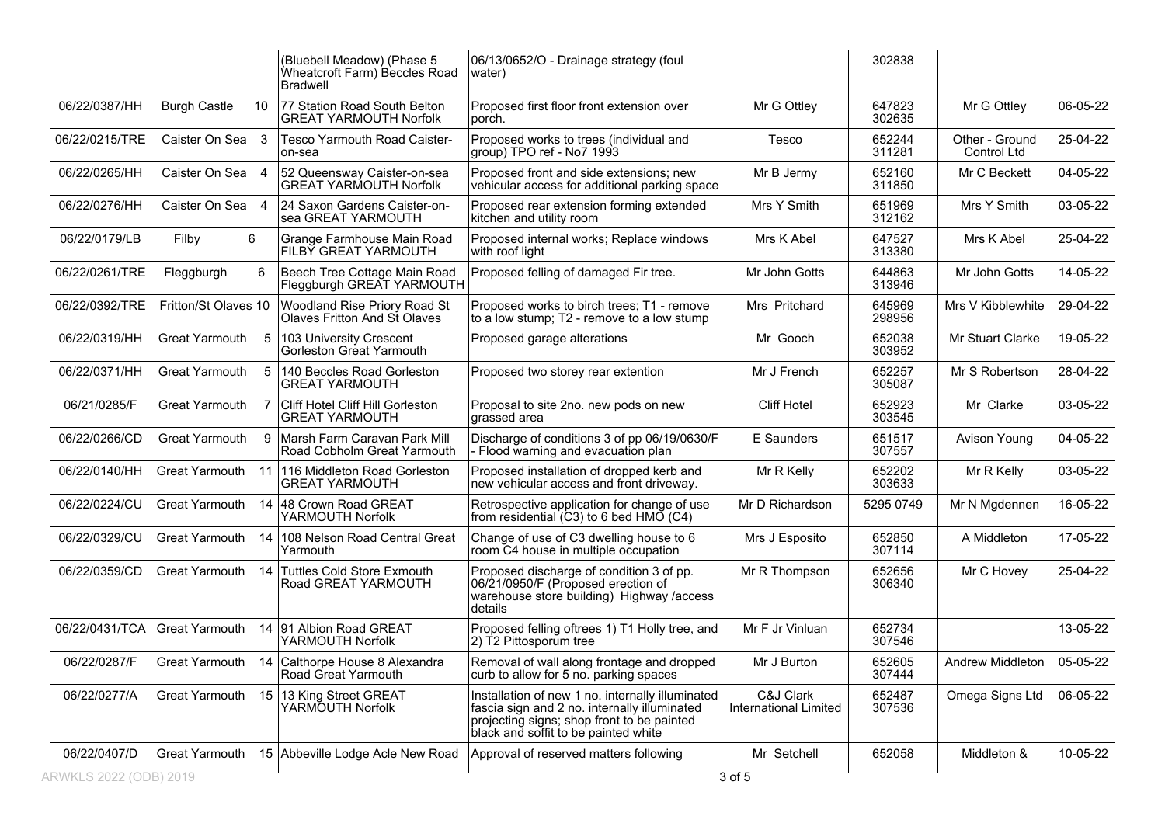|                       |                       |    | (Bluebell Meadow) (Phase 5<br>Wheatcroft Farm) Beccles Road<br><b>Bradwell</b> | 06/13/0652/O - Drainage strategy (foul<br>water)                                                                                                                                       |                                           | 302838           |                                      |          |
|-----------------------|-----------------------|----|--------------------------------------------------------------------------------|----------------------------------------------------------------------------------------------------------------------------------------------------------------------------------------|-------------------------------------------|------------------|--------------------------------------|----------|
| 06/22/0387/HH         | <b>Burgh Castle</b>   | 10 | 77 Station Road South Belton<br><b>GREAT YARMOUTH Norfolk</b>                  | Proposed first floor front extension over<br>porch.                                                                                                                                    | Mr G Ottley                               | 647823<br>302635 | Mr G Ottley                          | 06-05-22 |
| 06/22/0215/TRE        | Caister On Sea 3      |    | <b>Tesco Yarmouth Road Caister-</b><br>on-sea                                  | Proposed works to trees (individual and<br>group) TPO ref - No7 1993                                                                                                                   | Tesco                                     | 652244<br>311281 | Other - Ground<br><b>Control Ltd</b> | 25-04-22 |
| 06/22/0265/HH         | Caister On Sea 4      |    | 52 Queensway Caister-on-sea<br><b>GREAT YARMOUTH Norfolk</b>                   | Proposed front and side extensions; new<br>vehicular access for additional parking space                                                                                               | Mr B Jermy                                | 652160<br>311850 | Mr C Beckett                         | 04-05-22 |
| 06/22/0276/HH         | Caister On Sea 4      |    | 24 Saxon Gardens Caister-on-<br>sea GREAT YARMOUTH                             | Proposed rear extension forming extended<br>kitchen and utility room                                                                                                                   | Mrs Y Smith                               | 651969<br>312162 | Mrs Y Smith                          | 03-05-22 |
| 06/22/0179/LB         | 6<br>Filby            |    | Grange Farmhouse Main Road<br>FILBЎ GREAT YARMOUTH                             | Proposed internal works; Replace windows<br>with roof light                                                                                                                            | Mrs K Abel                                | 647527<br>313380 | Mrs K Abel                           | 25-04-22 |
| 06/22/0261/TRE        | Fleggburgh            | 6  | Beech Tree Cottage Main Road<br>Fleggburgh GREAT YARMOUTH                      | Proposed felling of damaged Fir tree.                                                                                                                                                  | Mr John Gotts                             | 644863<br>313946 | Mr John Gotts                        | 14-05-22 |
| 06/22/0392/TRE        | Fritton/St Olaves 10  |    | Woodland Rise Priory Road St<br>Olaves Fritton And St Olaves                   | Proposed works to birch trees; T1 - remove<br>to a low stump; T2 - remove to a low stump                                                                                               | Mrs Pritchard                             | 645969<br>298956 | Mrs V Kibblewhite                    | 29-04-22 |
| 06/22/0319/HH         | <b>Great Yarmouth</b> | 5  | 103 University Crescent<br>Gorleston Great Yarmouth                            | Proposed garage alterations                                                                                                                                                            | Mr Gooch                                  | 652038<br>303952 | Mr Stuart Clarke                     | 19-05-22 |
| 06/22/0371/HH         | <b>Great Yarmouth</b> | 5  | 140 Beccles Road Gorleston<br><b>GREAT YARMOUTH</b>                            | Proposed two storey rear extention                                                                                                                                                     | Mr J French                               | 652257<br>305087 | Mr S Robertson                       | 28-04-22 |
| 06/21/0285/F          | <b>Great Yarmouth</b> |    | Cliff Hotel Cliff Hill Gorleston<br><b>GREAT YARMOUTH</b>                      | Proposal to site 2no. new pods on new<br>grassed area                                                                                                                                  | <b>Cliff Hotel</b>                        | 652923<br>303545 | Mr Clarke                            | 03-05-22 |
| 06/22/0266/CD         | <b>Great Yarmouth</b> | 9  | Marsh Farm Caravan Park Mill<br>Road Cobholm Great Yarmouth                    | Discharge of conditions 3 of pp 06/19/0630/F<br>Flood warning and evacuation plan                                                                                                      | E Saunders                                | 651517<br>307557 | Avison Young                         | 04-05-22 |
| 06/22/0140/HH         | Great Yarmouth        |    | 11 116 Middleton Road Gorleston<br><b>GREAT YARMOUTH</b>                       | Proposed installation of dropped kerb and<br>new vehicular access and front driveway.                                                                                                  | Mr R Kelly                                | 652202<br>303633 | Mr R Kelly                           | 03-05-22 |
| 06/22/0224/CU         | Great Yarmouth        |    | 14 48 Crown Road GREAT<br>YARMOUTH Norfolk                                     | Retrospective application for change of use<br>from residential (C3) to 6 bed HMO (C4)                                                                                                 | Mr D Richardson                           | 5295 0749        | Mr N Mgdennen                        | 16-05-22 |
| 06/22/0329/CU         | <b>Great Yarmouth</b> | 14 | 108 Nelson Road Central Great<br>Yarmouth                                      | Change of use of C3 dwelling house to 6<br>room C4 house in multiple occupation                                                                                                        | Mrs J Esposito                            | 652850<br>307114 | A Middleton                          | 17-05-22 |
| 06/22/0359/CD         | Great Yarmouth        |    | 14 Tuttles Cold Store Exmouth<br>Road GREAT YARMOUTH                           | Proposed discharge of condition 3 of pp.<br>06/21/0950/F (Proposed erection of<br>warehouse store building) Highway /access<br>details                                                 | Mr R Thompson                             | 652656<br>306340 | Mr C Hovey                           | 25-04-22 |
| 06/22/0431/TCA        | <b>Great Yarmouth</b> | 14 | 91 Albion Road GREAT<br>YARMOUTH Norfolk                                       | Proposed felling oftrees 1) T1 Holly tree, and<br>2) T2 Pittosporum tree                                                                                                               | Mr F Jr Vinluan                           | 652734<br>307546 |                                      | 13-05-22 |
| 06/22/0287/F          | Great Yarmouth        |    | 14 Calthorpe House 8 Alexandra<br>Road Great Yarmouth                          | Removal of wall along frontage and dropped<br>curb to allow for 5 no. parking spaces                                                                                                   | Mr J Burton                               | 652605<br>307444 | Andrew Middleton                     | 05-05-22 |
| 06/22/0277/A          | Great Yarmouth        |    | 15 13 King Street GREAT<br>YARMOUTH Norfolk                                    | Installation of new 1 no. internally illuminated<br>fascia sign and 2 no. internally illuminated<br>projecting signs; shop front to be painted<br>black and soffit to be painted white | C&J Clark<br><b>International Limited</b> | 652487<br>307536 | Omega Signs Ltd                      | 06-05-22 |
| 06/22/0407/D          | Great Yarmouth        |    | 15 Abbeville Lodge Acle New Road                                               | Approval of reserved matters following                                                                                                                                                 | Mr Setchell                               | 652058           | Middleton &                          | 10-05-22 |
| RWKES 2022 (ODB) 2019 |                       |    |                                                                                |                                                                                                                                                                                        | 3 of 5                                    |                  |                                      |          |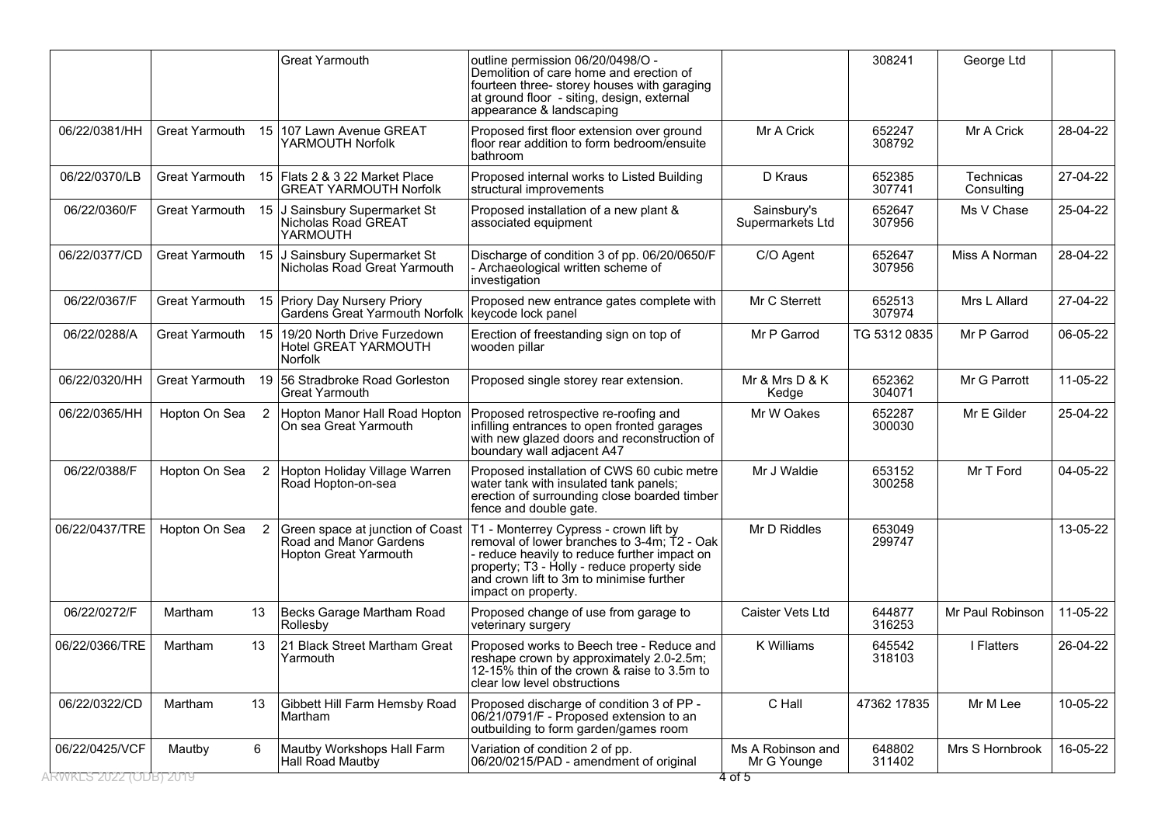|                                         |                       |                | <b>Great Yarmouth</b>                                                        | outline permission 06/20/0498/O -<br>Demolition of care home and erection of<br>fourteen three- storey houses with garaging<br>at ground floor - siting, design, external<br>appearance & landscaping                                                                                      |                                            | 308241           | George Ltd              |          |
|-----------------------------------------|-----------------------|----------------|------------------------------------------------------------------------------|--------------------------------------------------------------------------------------------------------------------------------------------------------------------------------------------------------------------------------------------------------------------------------------------|--------------------------------------------|------------------|-------------------------|----------|
| 06/22/0381/HH                           | <b>Great Yarmouth</b> |                | 15 107 Lawn Avenue GREAT<br>YARMOUTH Norfolk                                 | Proposed first floor extension over ground<br>floor rear addition to form bedroom/ensuite<br>bathroom                                                                                                                                                                                      | Mr A Crick                                 | 652247<br>308792 | Mr A Crick              | 28-04-22 |
| 06/22/0370/LB                           | Great Yarmouth        |                | 15 Flats 2 & 3 22 Market Place<br><b>GREAT YARMOUTH Norfolk</b>              | Proposed internal works to Listed Building<br>structural improvements                                                                                                                                                                                                                      | D Kraus                                    | 652385<br>307741 | Technicas<br>Consulting | 27-04-22 |
| 06/22/0360/F                            | Great Yarmouth        |                | 15 J Sainsbury Supermarket St<br>Nicholas Road GREAT<br>YARMOUTH             | Proposed installation of a new plant &<br>associated equipment                                                                                                                                                                                                                             | Sainsbury's<br>Supermarkets Ltd            | 652647<br>307956 | Ms V Chase              | 25-04-22 |
| 06/22/0377/CD                           | Great Yarmouth        |                | 15 J Sainsbury Supermarket St<br>Nicholas Road Great Yarmouth                | Discharge of condition 3 of pp. 06/20/0650/F<br>- Archaeological written scheme of<br>investigation                                                                                                                                                                                        | C/O Agent                                  | 652647<br>307956 | Miss A Norman           | 28-04-22 |
| 06/22/0367/F                            | Great Yarmouth        | 15             | <b>Priory Day Nursery Priory</b><br>Gardens Great Yarmouth Norfolk           | Proposed new entrance gates complete with<br>keycode lock panel                                                                                                                                                                                                                            | Mr C Sterrett                              | 652513<br>307974 | Mrs L Allard            | 27-04-22 |
| 06/22/0288/A                            | Great Yarmouth        | 15             | 19/20 North Drive Furzedown<br><b>Hotel GREAT YARMOUTH</b><br><b>Norfolk</b> | Erection of freestanding sign on top of<br>wooden pillar                                                                                                                                                                                                                                   | Mr P Garrod                                | TG 5312 0835     | Mr P Garrod             | 06-05-22 |
| 06/22/0320/HH                           | Great Yarmouth        |                | 19 56 Stradbroke Road Gorleston<br><b>Great Yarmouth</b>                     | Proposed single storey rear extension.                                                                                                                                                                                                                                                     | Mr & Mrs D & K<br>Kedge                    | 652362<br>304071 | Mr G Parrott            | 11-05-22 |
| 06/22/0365/HH                           | Hopton On Sea         | $\overline{2}$ | Hopton Manor Hall Road Hopton<br>On sea Great Yarmouth                       | Proposed retrospective re-roofing and<br>infilling entrances to open fronted garages<br>with new glazed doors and reconstruction of<br>boundary wall adjacent A47                                                                                                                          | Mr W Oakes                                 | 652287<br>300030 | Mr E Gilder             | 25-04-22 |
| 06/22/0388/F                            | Hopton On Sea         | $\overline{2}$ | Hopton Holiday Village Warren<br>Road Hopton-on-sea                          | Proposed installation of CWS 60 cubic metre<br>water tank with insulated tank panels;<br>erection of surrounding close boarded timber<br>fence and double gate.                                                                                                                            | Mr J Waldie                                | 653152<br>300258 | Mr T Ford               | 04-05-22 |
| 06/22/0437/TRE                          | Hopton On Sea         | 2              | Road and Manor Gardens<br>Hopton Great Yarmouth                              | Green space at junction of Coast   T1 - Monterrey Cypress - crown lift by<br>removal of lower branches to 3-4m; T2 - Oak<br>- reduce heavily to reduce further impact on<br>property; T3 - Holly - reduce property side<br>and crown lift to 3m to minimise further<br>impact on property. | Mr D Riddles                               | 653049<br>299747 |                         | 13-05-22 |
| 06/22/0272/F                            | Martham               | 13             | Becks Garage Martham Road<br>Rollesby                                        | Proposed change of use from garage to<br>veterinary surgery                                                                                                                                                                                                                                | Caister Vets Ltd                           | 644877<br>316253 | Mr Paul Robinson        | 11-05-22 |
| 06/22/0366/TRE                          | Martham               | 13             | 21 Black Street Martham Great<br>Yarmouth                                    | Proposed works to Beech tree - Reduce and<br>reshape crown by approximately 2.0-2.5m;<br>12-15% thin of the crown & raise to 3.5m to<br>clear low level obstructions                                                                                                                       | K Williams                                 | 645542<br>318103 | I Flatters              | 26-04-22 |
| 06/22/0322/CD                           | Martham               | 13             | Gibbett Hill Farm Hemsby Road<br>Martham                                     | Proposed discharge of condition 3 of PP -<br>06/21/0791/F - Proposed extension to an<br>outbuilding to form garden/games room                                                                                                                                                              | C Hall                                     | 47362 17835      | Mr M Lee                | 10-05-22 |
| 06/22/0425/VCF<br>RWKES 2022 (ODB) 2019 | Mautby                | 6              | Mautby Workshops Hall Farm<br><b>Hall Road Mautby</b>                        | Variation of condition 2 of pp.<br>06/20/0215/PAD - amendment of original                                                                                                                                                                                                                  | Ms A Robinson and<br>Mr G Younge<br>4 of 5 | 648802<br>311402 | Mrs S Hornbrook         | 16-05-22 |